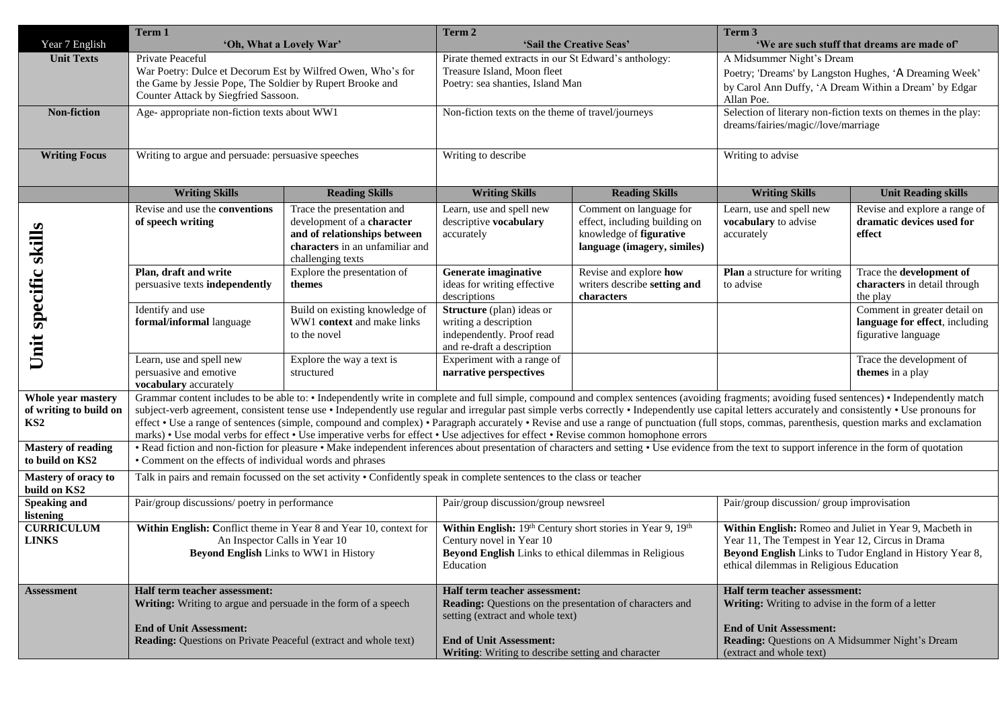| Year 7 English                                                  | Term 1<br>'Oh, What a Lovely War'                                                                                                                                                                                                                                                                                                                                                                                                                                                                                                                                                                                                                                                                                                                 |                                                                                                                                                  | Term 2<br>'Sail the Creative Seas'                                                                                                                                                                                    |                                                                                                                    | Term 3<br>'We are such stuff that dreams are made of'                                                                                                                                                             |                                                                                       |
|-----------------------------------------------------------------|---------------------------------------------------------------------------------------------------------------------------------------------------------------------------------------------------------------------------------------------------------------------------------------------------------------------------------------------------------------------------------------------------------------------------------------------------------------------------------------------------------------------------------------------------------------------------------------------------------------------------------------------------------------------------------------------------------------------------------------------------|--------------------------------------------------------------------------------------------------------------------------------------------------|-----------------------------------------------------------------------------------------------------------------------------------------------------------------------------------------------------------------------|--------------------------------------------------------------------------------------------------------------------|-------------------------------------------------------------------------------------------------------------------------------------------------------------------------------------------------------------------|---------------------------------------------------------------------------------------|
| <b>Unit Texts</b>                                               | Private Peaceful<br>War Poetry: Dulce et Decorum Est by Wilfred Owen, Who's for<br>the Game by Jessie Pope, The Soldier by Rupert Brooke and<br>Counter Attack by Siegfried Sassoon.                                                                                                                                                                                                                                                                                                                                                                                                                                                                                                                                                              |                                                                                                                                                  | Pirate themed extracts in our St Edward's anthology:<br>Treasure Island, Moon fleet<br>Poetry: sea shanties, Island Man                                                                                               |                                                                                                                    | A Midsummer Night's Dream<br>Poetry; 'Dreams' by Langston Hughes, 'A Dreaming Week'<br>by Carol Ann Duffy, 'A Dream Within a Dream' by Edgar<br>Allan Poe.                                                        |                                                                                       |
| Non-fiction                                                     | Age- appropriate non-fiction texts about WW1                                                                                                                                                                                                                                                                                                                                                                                                                                                                                                                                                                                                                                                                                                      |                                                                                                                                                  | Non-fiction texts on the theme of travel/journeys                                                                                                                                                                     |                                                                                                                    | Selection of literary non-fiction texts on themes in the play:<br>dreams/fairies/magic//love/marriage                                                                                                             |                                                                                       |
| <b>Writing Focus</b>                                            | Writing to argue and persuade: persuasive speeches                                                                                                                                                                                                                                                                                                                                                                                                                                                                                                                                                                                                                                                                                                |                                                                                                                                                  | Writing to describe                                                                                                                                                                                                   |                                                                                                                    | Writing to advise                                                                                                                                                                                                 |                                                                                       |
|                                                                 | <b>Writing Skills</b>                                                                                                                                                                                                                                                                                                                                                                                                                                                                                                                                                                                                                                                                                                                             | <b>Reading Skills</b>                                                                                                                            | <b>Writing Skills</b>                                                                                                                                                                                                 | <b>Reading Skills</b>                                                                                              | <b>Unit Reading skills</b><br><b>Writing Skills</b>                                                                                                                                                               |                                                                                       |
| skills                                                          | Revise and use the <b>conventions</b><br>of speech writing                                                                                                                                                                                                                                                                                                                                                                                                                                                                                                                                                                                                                                                                                        | Trace the presentation and<br>development of a character<br>and of relationships between<br>characters in an unfamiliar and<br>challenging texts | Learn, use and spell new<br>descriptive vocabulary<br>accurately                                                                                                                                                      | Comment on language for<br>effect, including building on<br>knowledge of figurative<br>language (imagery, similes) | Learn, use and spell new<br>vocabulary to advise<br>accurately                                                                                                                                                    | Revise and explore a range of<br>dramatic devices used for<br>effect                  |
| specific                                                        | Plan, draft and write<br>persuasive texts independently                                                                                                                                                                                                                                                                                                                                                                                                                                                                                                                                                                                                                                                                                           | Explore the presentation of<br>themes                                                                                                            | Generate imaginative<br>ideas for writing effective<br>descriptions                                                                                                                                                   | Revise and explore how<br>writers describe setting and<br>characters                                               | <b>Plan</b> a structure for writing<br>to advise                                                                                                                                                                  | Trace the development of<br>characters in detail through<br>the play                  |
| Unit                                                            | Identify and use<br>formal/informal language                                                                                                                                                                                                                                                                                                                                                                                                                                                                                                                                                                                                                                                                                                      | Build on existing knowledge of<br>WW1 context and make links<br>to the novel                                                                     | <b>Structure</b> (plan) ideas or<br>writing a description<br>independently. Proof read<br>and re-draft a description                                                                                                  |                                                                                                                    |                                                                                                                                                                                                                   | Comment in greater detail on<br>language for effect, including<br>figurative language |
|                                                                 | Learn, use and spell new<br>persuasive and emotive<br>vocabulary accurately                                                                                                                                                                                                                                                                                                                                                                                                                                                                                                                                                                                                                                                                       | Explore the way a text is<br>structured                                                                                                          | Experiment with a range of<br>narrative perspectives                                                                                                                                                                  |                                                                                                                    |                                                                                                                                                                                                                   | Trace the development of<br>themes in a play                                          |
| Whole year mastery<br>of writing to build on<br>KS <sub>2</sub> | Grammar content includes to be able to: • Independently write in complete and full simple, compound and complex sentences (avoiding fragments; avoiding fused sentences) • Independently match<br>subject-verb agreement, consistent tense use • Independently use regular and irregular past simple verbs correctly • Independently use capital letters accurately and consistently • Use pronouns for<br>effect • Use a range of sentences (simple, compound and complex) • Paragraph accurately • Revise and use a range of punctuation (full stops, commas, parenthesis, question marks and exclamation<br>marks) • Use modal verbs for effect • Use imperative verbs for effect • Use adjectives for effect • Revise common homophone errors |                                                                                                                                                  |                                                                                                                                                                                                                       |                                                                                                                    |                                                                                                                                                                                                                   |                                                                                       |
| <b>Mastery of reading</b><br>to build on KS2                    | • Read fiction and non-fiction for pleasure • Make independent inferences about presentation of characters and setting • Use evidence from the text to support inference in the form of quotation<br>• Comment on the effects of individual words and phrases                                                                                                                                                                                                                                                                                                                                                                                                                                                                                     |                                                                                                                                                  |                                                                                                                                                                                                                       |                                                                                                                    |                                                                                                                                                                                                                   |                                                                                       |
| Mastery of oracy to<br>build on KS2                             | Talk in pairs and remain focussed on the set activity • Confidently speak in complete sentences to the class or teacher                                                                                                                                                                                                                                                                                                                                                                                                                                                                                                                                                                                                                           |                                                                                                                                                  |                                                                                                                                                                                                                       |                                                                                                                    |                                                                                                                                                                                                                   |                                                                                       |
| <b>Speaking and</b><br>listening                                | Pair/group discussions/ poetry in performance                                                                                                                                                                                                                                                                                                                                                                                                                                                                                                                                                                                                                                                                                                     |                                                                                                                                                  | Pair/group discussion/group newsreel                                                                                                                                                                                  |                                                                                                                    | Pair/group discussion/group improvisation                                                                                                                                                                         |                                                                                       |
| <b>CURRICULUM</b><br><b>LINKS</b>                               | Within English: Conflict theme in Year 8 and Year 10, context for<br>An Inspector Calls in Year 10<br><b>Beyond English Links to WW1 in History</b>                                                                                                                                                                                                                                                                                                                                                                                                                                                                                                                                                                                               |                                                                                                                                                  | Within English: 19th Century short stories in Year 9, 19th<br>Century novel in Year 10<br>Beyond English Links to ethical dilemmas in Religious<br>Education                                                          |                                                                                                                    | Within English: Romeo and Juliet in Year 9, Macbeth in<br>Year 11, The Tempest in Year 12, Circus in Drama<br>Beyond English Links to Tudor England in History Year 8,<br>ethical dilemmas in Religious Education |                                                                                       |
| <b>Assessment</b>                                               | Half term teacher assessment:<br>Writing: Writing to argue and persuade in the form of a speech<br><b>End of Unit Assessment:</b><br><b>Reading:</b> Questions on Private Peaceful (extract and whole text)                                                                                                                                                                                                                                                                                                                                                                                                                                                                                                                                       |                                                                                                                                                  | Half term teacher assessment:<br>Reading: Questions on the presentation of characters and<br>setting (extract and whole text)<br><b>End of Unit Assessment:</b><br>Writing: Writing to describe setting and character |                                                                                                                    | Half term teacher assessment:<br>Writing: Writing to advise in the form of a letter<br><b>End of Unit Assessment:</b><br>Reading: Questions on A Midsummer Night's Dream<br>(extract and whole text)              |                                                                                       |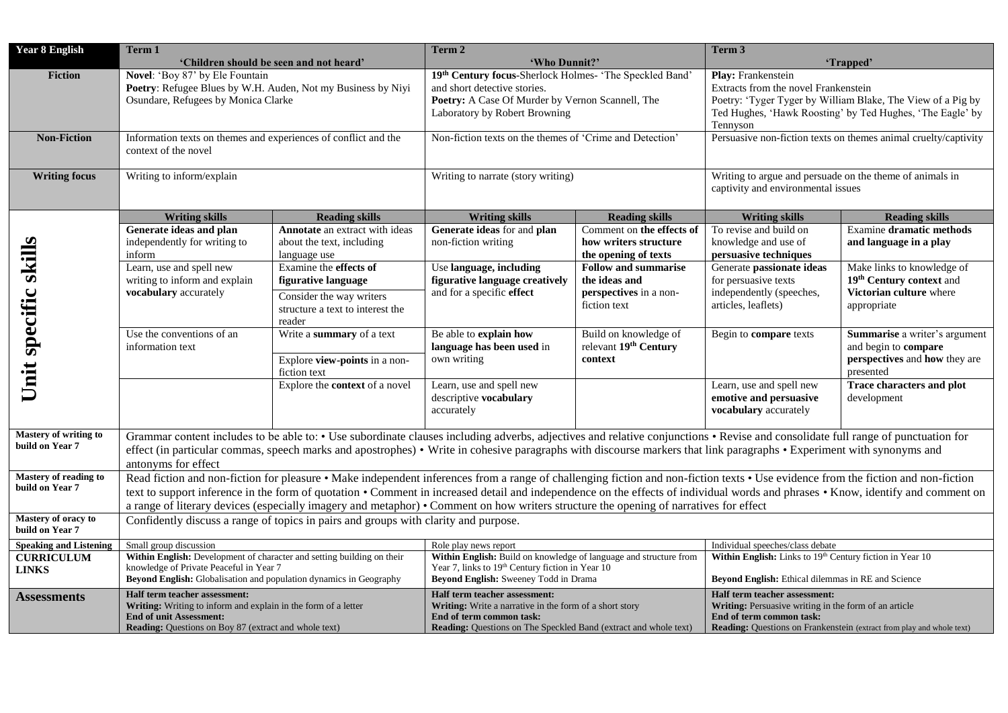| <b>Year 8 English</b>                           | Term 1<br>'Children should be seen and not heard'                                                                                                                                                                                                                                                                                                                                                                                                                                                              |                                                                                                                                | Term 2<br>'Who Dunnit?'                                                                                                                                                                         |                                                                                        | Term 3<br>'Trapped'                                                                                                                                                                                       |                                                                                                     |  |
|-------------------------------------------------|----------------------------------------------------------------------------------------------------------------------------------------------------------------------------------------------------------------------------------------------------------------------------------------------------------------------------------------------------------------------------------------------------------------------------------------------------------------------------------------------------------------|--------------------------------------------------------------------------------------------------------------------------------|-------------------------------------------------------------------------------------------------------------------------------------------------------------------------------------------------|----------------------------------------------------------------------------------------|-----------------------------------------------------------------------------------------------------------------------------------------------------------------------------------------------------------|-----------------------------------------------------------------------------------------------------|--|
| <b>Fiction</b>                                  | Novel: 'Boy 87' by Ele Fountain<br>Poetry: Refugee Blues by W.H. Auden, Not my Business by Niyi<br>Osundare, Refugees by Monica Clarke                                                                                                                                                                                                                                                                                                                                                                         |                                                                                                                                | 19th Century focus-Sherlock Holmes- 'The Speckled Band'<br>and short detective stories.<br>Poetry: A Case Of Murder by Vernon Scannell, The<br>Laboratory by Robert Browning                    |                                                                                        | Play: Frankenstein<br>Extracts from the novel Frankenstein<br>Poetry: 'Tyger Tyger by William Blake, The View of a Pig by<br>Ted Hughes, 'Hawk Roosting' by Ted Hughes, 'The Eagle' by<br>Tennyson        |                                                                                                     |  |
| <b>Non-Fiction</b>                              | Information texts on themes and experiences of conflict and the<br>context of the novel                                                                                                                                                                                                                                                                                                                                                                                                                        |                                                                                                                                | Non-fiction texts on the themes of 'Crime and Detection'                                                                                                                                        |                                                                                        | Persuasive non-fiction texts on themes animal cruelty/captivity                                                                                                                                           |                                                                                                     |  |
| <b>Writing focus</b>                            | Writing to inform/explain                                                                                                                                                                                                                                                                                                                                                                                                                                                                                      |                                                                                                                                | Writing to narrate (story writing)                                                                                                                                                              |                                                                                        | Writing to argue and persuade on the theme of animals in<br>captivity and environmental issues                                                                                                            |                                                                                                     |  |
|                                                 | <b>Writing skills</b>                                                                                                                                                                                                                                                                                                                                                                                                                                                                                          | <b>Reading skills</b>                                                                                                          | <b>Writing skills</b>                                                                                                                                                                           | <b>Reading skills</b>                                                                  | <b>Writing skills</b>                                                                                                                                                                                     | <b>Reading skills</b>                                                                               |  |
| Unit specific skills                            | Generate ideas and plan<br>independently for writing to<br>inform                                                                                                                                                                                                                                                                                                                                                                                                                                              | Annotate an extract with ideas<br>about the text, including<br>language use                                                    | Generate ideas for and plan<br>non-fiction writing                                                                                                                                              | Comment on the effects of<br>how writers structure<br>the opening of texts             | To revise and build on<br>knowledge and use of<br>persuasive techniques                                                                                                                                   | <b>Examine dramatic methods</b><br>and language in a play                                           |  |
|                                                 | Learn, use and spell new<br>writing to inform and explain<br>vocabulary accurately                                                                                                                                                                                                                                                                                                                                                                                                                             | Examine the <b>effects</b> of<br>figurative language<br>Consider the way writers<br>structure a text to interest the<br>reader | Use language, including<br>figurative language creatively<br>and for a specific effect                                                                                                          | <b>Follow and summarise</b><br>the ideas and<br>perspectives in a non-<br>fiction text | Generate passionate ideas<br>for persuasive texts<br>independently (speeches,<br>articles, leaflets)                                                                                                      | Make links to knowledge of<br>19th Century context and<br>Victorian culture where<br>appropriate    |  |
|                                                 | Use the conventions of an<br>information text                                                                                                                                                                                                                                                                                                                                                                                                                                                                  | Write a summary of a text<br>Explore view-points in a non-<br>fiction text                                                     | Be able to explain how<br>language has been used in<br>own writing                                                                                                                              | Build on knowledge of<br>relevant 19th Century<br>context                              | Begin to compare texts                                                                                                                                                                                    | Summarise a writer's argument<br>and begin to compare<br>perspectives and how they are<br>presented |  |
|                                                 |                                                                                                                                                                                                                                                                                                                                                                                                                                                                                                                | Explore the context of a novel                                                                                                 | Learn, use and spell new<br>descriptive vocabulary<br>accurately                                                                                                                                |                                                                                        | Learn, use and spell new<br>emotive and persuasive<br>vocabulary accurately                                                                                                                               | Trace characters and plot<br>development                                                            |  |
| <b>Mastery of writing to</b><br>build on Year 7 | Grammar content includes to be able to: • Use subordinate clauses including adverbs, adjectives and relative conjunctions • Revise and consolidate full range of punctuation for<br>effect (in particular commas, speech marks and apostrophes) • Write in cohesive paragraphs with discourse markers that link paragraphs • Experiment with synonyms and<br>antonyms for effect                                                                                                                               |                                                                                                                                |                                                                                                                                                                                                 |                                                                                        |                                                                                                                                                                                                           |                                                                                                     |  |
| <b>Mastery of reading to</b><br>build on Year 7 | Read fiction and non-fiction for pleasure • Make independent inferences from a range of challenging fiction and non-fiction texts • Use evidence from the fiction and non-fiction<br>text to support inference in the form of quotation • Comment in increased detail and independence on the effects of individual words and phrases • Know, identify and comment on<br>a range of literary devices (especially imagery and metaphor) • Comment on how writers structure the opening of narratives for effect |                                                                                                                                |                                                                                                                                                                                                 |                                                                                        |                                                                                                                                                                                                           |                                                                                                     |  |
| Mastery of oracy to<br>build on Year 7          | Confidently discuss a range of topics in pairs and groups with clarity and purpose.                                                                                                                                                                                                                                                                                                                                                                                                                            |                                                                                                                                |                                                                                                                                                                                                 |                                                                                        |                                                                                                                                                                                                           |                                                                                                     |  |
| <b>Speaking and Listening</b>                   | Small group discussion                                                                                                                                                                                                                                                                                                                                                                                                                                                                                         |                                                                                                                                | Role play news report                                                                                                                                                                           |                                                                                        | Individual speeches/class debate                                                                                                                                                                          |                                                                                                     |  |
| <b>CURRICULUM</b><br><b>LINKS</b>               | Within English: Development of character and setting building on their<br>knowledge of Private Peaceful in Year 7<br>Beyond English: Globalisation and population dynamics in Geography                                                                                                                                                                                                                                                                                                                        |                                                                                                                                | Within English: Build on knowledge of language and structure from<br>Year 7, links to 19th Century fiction in Year 10<br>Beyond English: Sweeney Todd in Drama                                  |                                                                                        | Within English: Links to 19th Century fiction in Year 10<br>Beyond English: Ethical dilemmas in RE and Science                                                                                            |                                                                                                     |  |
| <b>Assessments</b>                              | Half term teacher assessment:<br>Writing: Writing to inform and explain in the form of a letter<br><b>End of unit Assessment:</b><br><b>Reading:</b> Questions on Boy 87 (extract and whole text)                                                                                                                                                                                                                                                                                                              |                                                                                                                                | Half term teacher assessment:<br>Writing: Write a narrative in the form of a short story<br>End of term common task:<br><b>Reading:</b> Questions on The Speckled Band (extract and whole text) |                                                                                        | Half term teacher assessment:<br><b>Writing:</b> Persuasive writing in the form of an article<br>End of term common task:<br><b>Reading:</b> Questions on Frankenstein (extract from play and whole text) |                                                                                                     |  |